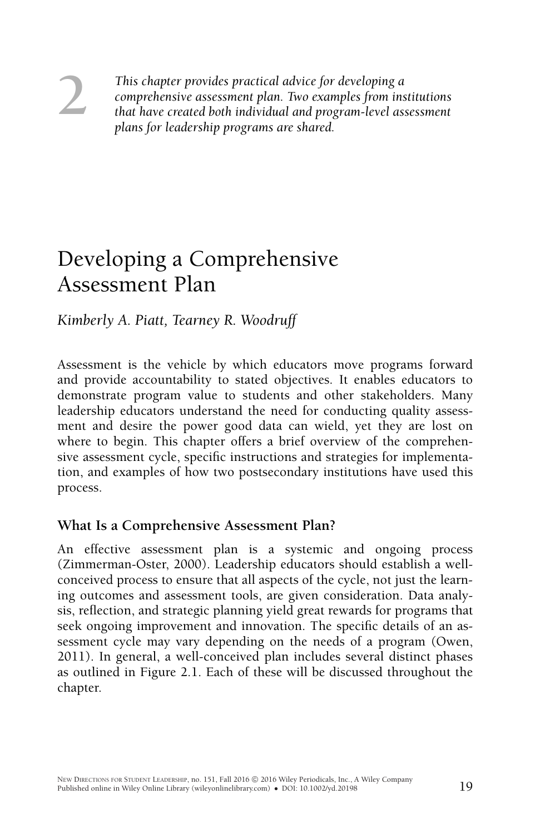**2** *This chapter provides practical advice for developing a*<br> *comprehensive assessment plan. Two examples from institutions<br>
that have created both individual and program-level assessment<br>
plans for leadership programs a comprehensive assessment plan. Two examples from institutions plans for leadership programs are shared.*

# Developing a Comprehensive Assessment Plan

*Kimberly A. Piatt, Tearney R. Woodruff*

Assessment is the vehicle by which educators move programs forward and provide accountability to stated objectives. It enables educators to demonstrate program value to students and other stakeholders. Many leadership educators understand the need for conducting quality assessment and desire the power good data can wield, yet they are lost on where to begin. This chapter offers a brief overview of the comprehensive assessment cycle, specific instructions and strategies for implementation, and examples of how two postsecondary institutions have used this process.

## **What Is a Comprehensive Assessment Plan?**

An effective assessment plan is a systemic and ongoing process (Zimmerman-Oster, 2000). Leadership educators should establish a wellconceived process to ensure that all aspects of the cycle, not just the learning outcomes and assessment tools, are given consideration. Data analysis, reflection, and strategic planning yield great rewards for programs that seek ongoing improvement and innovation. The specific details of an assessment cycle may vary depending on the needs of a program (Owen, 2011). In general, a well-conceived plan includes several distinct phases as outlined in Figure [2.1.](#page-1-0) Each of these will be discussed throughout the chapter.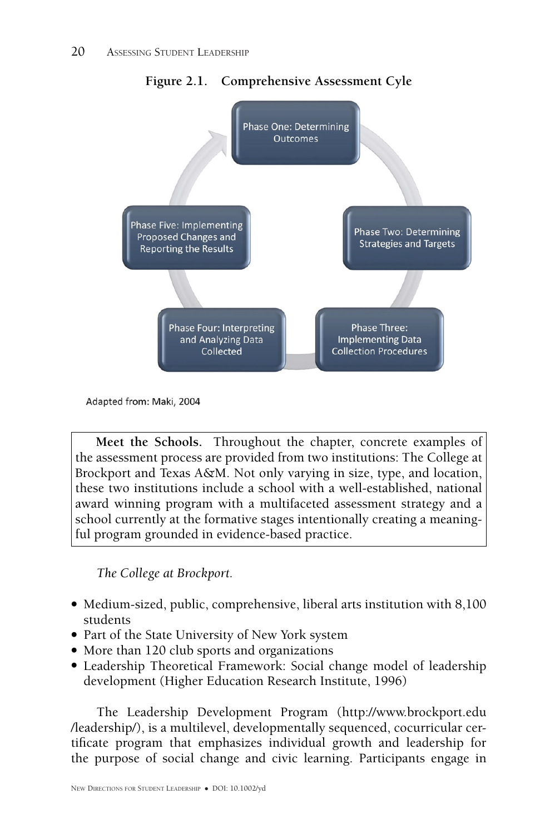

<span id="page-1-0"></span>**Figure 2.1. Comprehensive Assessment Cyle**

Adapted from: Maki, 2004

**Meet the Schools.** Throughout the chapter, concrete examples of the assessment process are provided from two institutions: The College at Brockport and Texas A&M. Not only varying in size, type, and location, these two institutions include a school with a well-established, national award winning program with a multifaceted assessment strategy and a school currently at the formative stages intentionally creating a meaningful program grounded in evidence-based practice.

## *The College at Brockport.*

- Medium-sized, public, comprehensive, liberal arts institution with 8,100 students
- Part of the State University of New York system
- More than 120 club sports and organizations
- Leadership Theoretical Framework: Social change model of leadership development (Higher Education Research Institute, 1996)

The Leadership Development Program [\(http://www.brockport.edu](http://www.brockport.edu/leadership/) [/leadership/\)](http://www.brockport.edu/leadership/), is a multilevel, developmentally sequenced, cocurricular certificate program that emphasizes individual growth and leadership for the purpose of social change and civic learning. Participants engage in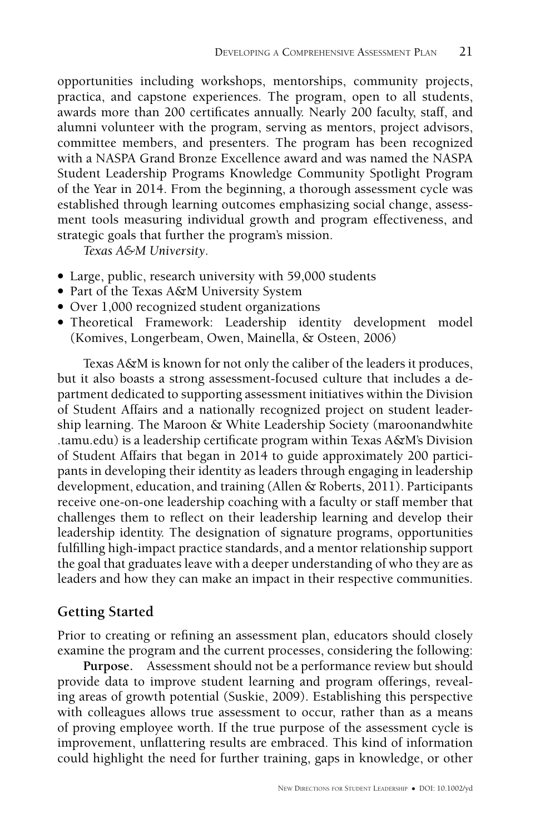opportunities including workshops, mentorships, community projects, practica, and capstone experiences. The program, open to all students, awards more than 200 certificates annually. Nearly 200 faculty, staff, and alumni volunteer with the program, serving as mentors, project advisors, committee members, and presenters. The program has been recognized with a NASPA Grand Bronze Excellence award and was named the NASPA Student Leadership Programs Knowledge Community Spotlight Program of the Year in 2014. From the beginning, a thorough assessment cycle was established through learning outcomes emphasizing social change, assessment tools measuring individual growth and program effectiveness, and strategic goals that further the program's mission.

*Texas A&M University.*

- Large, public, research university with 59,000 students
- Part of the Texas A&M University System
- Over 1,000 recognized student organizations
- Theoretical Framework: Leadership identity development model (Komives, Longerbeam, Owen, Mainella, & Osteen, 2006)

Texas A&M is known for not only the caliber of the leaders it produces, but it also boasts a strong assessment-focused culture that includes a department dedicated to supporting assessment initiatives within the Division of Student Affairs and a nationally recognized project on student leadership learning. The Maroon & White Leadership Society [\(maroonandwhite](http://maroonandwhite.tamu.edu) [.tamu.edu\)](http://maroonandwhite.tamu.edu) is a leadership certificate program within Texas A&M's Division of Student Affairs that began in 2014 to guide approximately 200 participants in developing their identity as leaders through engaging in leadership development, education, and training (Allen & Roberts, 2011). Participants receive one-on-one leadership coaching with a faculty or staff member that challenges them to reflect on their leadership learning and develop their leadership identity. The designation of signature programs, opportunities fulfilling high-impact practice standards, and a mentor relationship support the goal that graduates leave with a deeper understanding of who they are as leaders and how they can make an impact in their respective communities.

## **Getting Started**

Prior to creating or refining an assessment plan, educators should closely examine the program and the current processes, considering the following:

**Purpose.** Assessment should not be a performance review but should provide data to improve student learning and program offerings, revealing areas of growth potential (Suskie, 2009). Establishing this perspective with colleagues allows true assessment to occur, rather than as a means of proving employee worth. If the true purpose of the assessment cycle is improvement, unflattering results are embraced. This kind of information could highlight the need for further training, gaps in knowledge, or other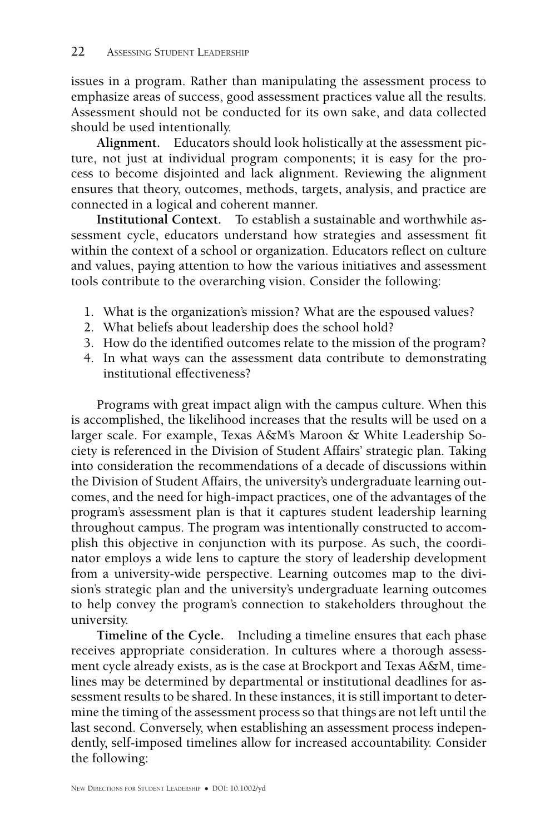issues in a program. Rather than manipulating the assessment process to emphasize areas of success, good assessment practices value all the results. Assessment should not be conducted for its own sake, and data collected should be used intentionally.

**Alignment.** Educators should look holistically at the assessment picture, not just at individual program components; it is easy for the process to become disjointed and lack alignment. Reviewing the alignment ensures that theory, outcomes, methods, targets, analysis, and practice are connected in a logical and coherent manner.

**Institutional Context.** To establish a sustainable and worthwhile assessment cycle, educators understand how strategies and assessment fit within the context of a school or organization. Educators reflect on culture and values, paying attention to how the various initiatives and assessment tools contribute to the overarching vision. Consider the following:

- 1. What is the organization's mission? What are the espoused values?
- 2. What beliefs about leadership does the school hold?
- 3. How do the identified outcomes relate to the mission of the program?
- 4. In what ways can the assessment data contribute to demonstrating institutional effectiveness?

Programs with great impact align with the campus culture. When this is accomplished, the likelihood increases that the results will be used on a larger scale. For example, Texas A&M's Maroon & White Leadership Society is referenced in the Division of Student Affairs' strategic plan. Taking into consideration the recommendations of a decade of discussions within the Division of Student Affairs, the university's undergraduate learning outcomes, and the need for high-impact practices, one of the advantages of the program's assessment plan is that it captures student leadership learning throughout campus. The program was intentionally constructed to accomplish this objective in conjunction with its purpose. As such, the coordinator employs a wide lens to capture the story of leadership development from a university-wide perspective. Learning outcomes map to the division's strategic plan and the university's undergraduate learning outcomes to help convey the program's connection to stakeholders throughout the university.

**Timeline of the Cycle.** Including a timeline ensures that each phase receives appropriate consideration. In cultures where a thorough assessment cycle already exists, as is the case at Brockport and Texas A&M, timelines may be determined by departmental or institutional deadlines for assessment results to be shared. In these instances, it is still important to determine the timing of the assessment process so that things are not left until the last second. Conversely, when establishing an assessment process independently, self-imposed timelines allow for increased accountability. Consider the following: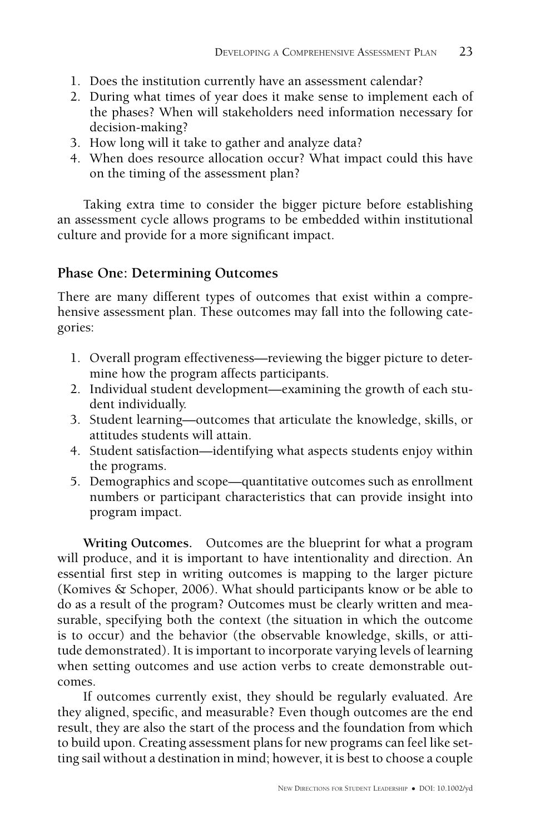- 1. Does the institution currently have an assessment calendar?
- 2. During what times of year does it make sense to implement each of the phases? When will stakeholders need information necessary for decision-making?
- 3. How long will it take to gather and analyze data?
- 4. When does resource allocation occur? What impact could this have on the timing of the assessment plan?

Taking extra time to consider the bigger picture before establishing an assessment cycle allows programs to be embedded within institutional culture and provide for a more significant impact.

## **Phase One: Determining Outcomes**

There are many different types of outcomes that exist within a comprehensive assessment plan. These outcomes may fall into the following categories:

- 1. Overall program effectiveness—reviewing the bigger picture to determine how the program affects participants.
- 2. Individual student development—examining the growth of each student individually.
- 3. Student learning—outcomes that articulate the knowledge, skills, or attitudes students will attain.
- 4. Student satisfaction—identifying what aspects students enjoy within the programs.
- 5. Demographics and scope—quantitative outcomes such as enrollment numbers or participant characteristics that can provide insight into program impact.

**Writing Outcomes.** Outcomes are the blueprint for what a program will produce, and it is important to have intentionality and direction. An essential first step in writing outcomes is mapping to the larger picture (Komives & Schoper, 2006). What should participants know or be able to do as a result of the program? Outcomes must be clearly written and measurable, specifying both the context (the situation in which the outcome is to occur) and the behavior (the observable knowledge, skills, or attitude demonstrated). It is important to incorporate varying levels of learning when setting outcomes and use action verbs to create demonstrable outcomes.

If outcomes currently exist, they should be regularly evaluated. Are they aligned, specific, and measurable? Even though outcomes are the end result, they are also the start of the process and the foundation from which to build upon. Creating assessment plans for new programs can feel like setting sail without a destination in mind; however, it is best to choose a couple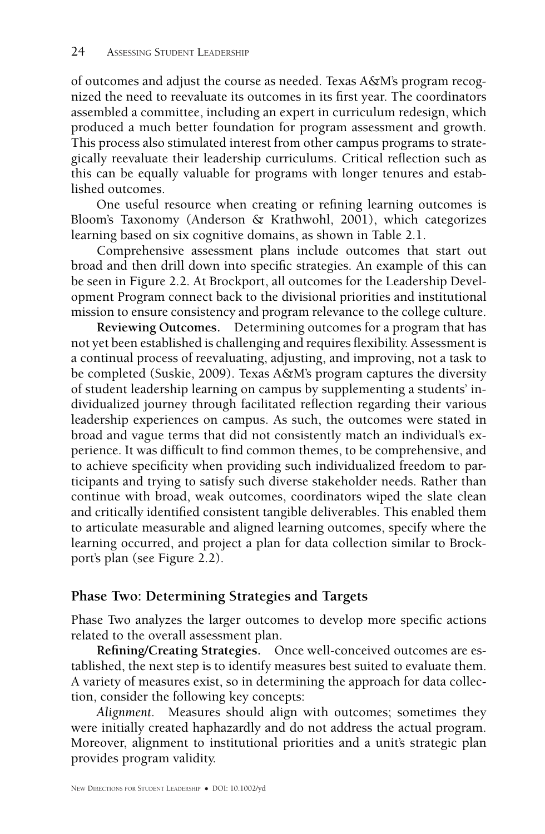of outcomes and adjust the course as needed. Texas A&M's program recognized the need to reevaluate its outcomes in its first year. The coordinators assembled a committee, including an expert in curriculum redesign, which produced a much better foundation for program assessment and growth. This process also stimulated interest from other campus programs to strategically reevaluate their leadership curriculums. Critical reflection such as this can be equally valuable for programs with longer tenures and established outcomes.

One useful resource when creating or refining learning outcomes is Bloom's Taxonomy (Anderson & Krathwohl, 2001), which categorizes learning based on six cognitive domains, as shown in Table [2.1.](#page-6-0)

Comprehensive assessment plans include outcomes that start out broad and then drill down into specific strategies. An example of this can be seen in Figure [2.2.](#page-7-0) At Brockport, all outcomes for the Leadership Development Program connect back to the divisional priorities and institutional mission to ensure consistency and program relevance to the college culture.

**Reviewing Outcomes.** Determining outcomes for a program that has not yet been established is challenging and requires flexibility. Assessment is a continual process of reevaluating, adjusting, and improving, not a task to be completed (Suskie, 2009). Texas A&M's program captures the diversity of student leadership learning on campus by supplementing a students' individualized journey through facilitated reflection regarding their various leadership experiences on campus. As such, the outcomes were stated in broad and vague terms that did not consistently match an individual's experience. It was difficult to find common themes, to be comprehensive, and to achieve specificity when providing such individualized freedom to participants and trying to satisfy such diverse stakeholder needs. Rather than continue with broad, weak outcomes, coordinators wiped the slate clean and critically identified consistent tangible deliverables. This enabled them to articulate measurable and aligned learning outcomes, specify where the learning occurred, and project a plan for data collection similar to Brockport's plan (see Figure [2.2\)](#page-7-0).

## **Phase Two: Determining Strategies and Targets**

Phase Two analyzes the larger outcomes to develop more specific actions related to the overall assessment plan.

**Refining/Creating Strategies.** Once well-conceived outcomes are established, the next step is to identify measures best suited to evaluate them. A variety of measures exist, so in determining the approach for data collection, consider the following key concepts:

*Alignment.* Measures should align with outcomes; sometimes they were initially created haphazardly and do not address the actual program. Moreover, alignment to institutional priorities and a unit's strategic plan provides program validity.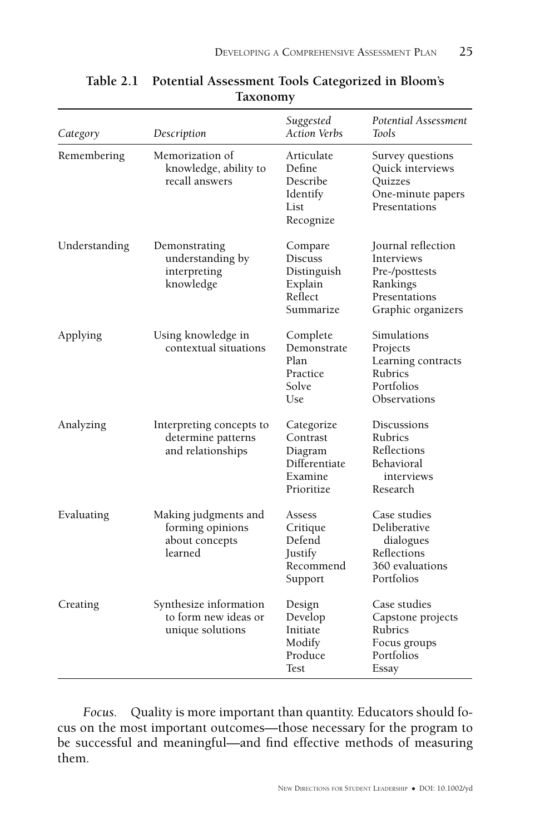| Category      | Description                                                           | Suggested<br><b>Action Verbs</b>                                            | <b>Potential Assessment</b><br><b>Tools</b>                                                           |
|---------------|-----------------------------------------------------------------------|-----------------------------------------------------------------------------|-------------------------------------------------------------------------------------------------------|
| Remembering   | Memorization of<br>knowledge, ability to<br>recall answers            | Articulate<br>Define<br>Describe<br>Identify<br>List<br>Recognize           | Survey questions<br>Quick interviews<br>Quizzes<br>One-minute papers<br>Presentations                 |
| Understanding | Demonstrating<br>understanding by<br>interpreting<br>knowledge        | Compare<br><b>Discuss</b><br>Distinguish<br>Explain<br>Reflect<br>Summarize | Journal reflection<br>Interviews<br>Pre-/posttests<br>Rankings<br>Presentations<br>Graphic organizers |
| Applying      | Using knowledge in<br>contextual situations                           | Complete<br>Demonstrate<br>Plan<br>Practice<br>Solve<br>Use                 | Simulations<br>Projects<br>Learning contracts<br>Rubrics<br>Portfolios<br>Observations                |
| Analyzing     | Interpreting concepts to<br>determine patterns<br>and relationships   | Categorize<br>Contrast<br>Diagram<br>Differentiate<br>Examine<br>Prioritize | Discussions<br>Rubrics<br>Reflections<br>Behavioral<br>interviews<br>Research                         |
| Evaluating    | Making judgments and<br>forming opinions<br>about concepts<br>learned | Assess<br>Critique<br>Defend<br>Justify<br>Recommend<br>Support             | Case studies<br>Deliberative<br>dialogues<br>Reflections<br>360 evaluations<br>Portfolios             |
| Creating      | Synthesize information<br>to form new ideas or<br>unique solutions    | Design<br>Develop<br>Initiate<br>Modify<br>Produce<br><b>Test</b>           | Case studies<br>Capstone projects<br>Rubrics<br>Focus groups<br>Portfolios<br>Essay                   |

<span id="page-6-0"></span>**Table 2.1 Potential Assessment Tools Categorized in Bloom's Taxonomy**

*Focus.* Quality is more important than quantity. Educators should focus on the most important outcomes—those necessary for the program to be successful and meaningful—and find effective methods of measuring them.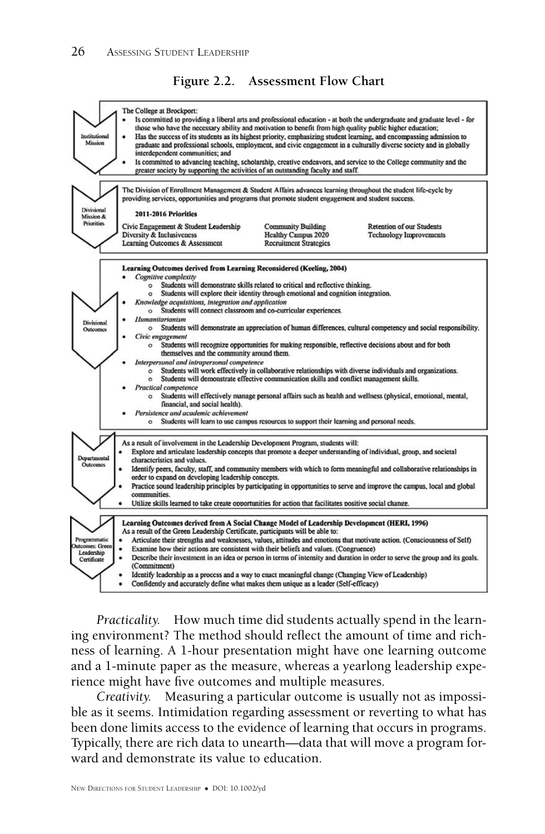<span id="page-7-0"></span>



*Practicality.* How much time did students actually spend in the learning environment? The method should reflect the amount of time and richness of learning. A 1-hour presentation might have one learning outcome and a 1-minute paper as the measure, whereas a yearlong leadership experience might have five outcomes and multiple measures.

*Creativity.* Measuring a particular outcome is usually not as impossible as it seems. Intimidation regarding assessment or reverting to what has been done limits access to the evidence of learning that occurs in programs. Typically, there are rich data to unearth—data that will move a program forward and demonstrate its value to education.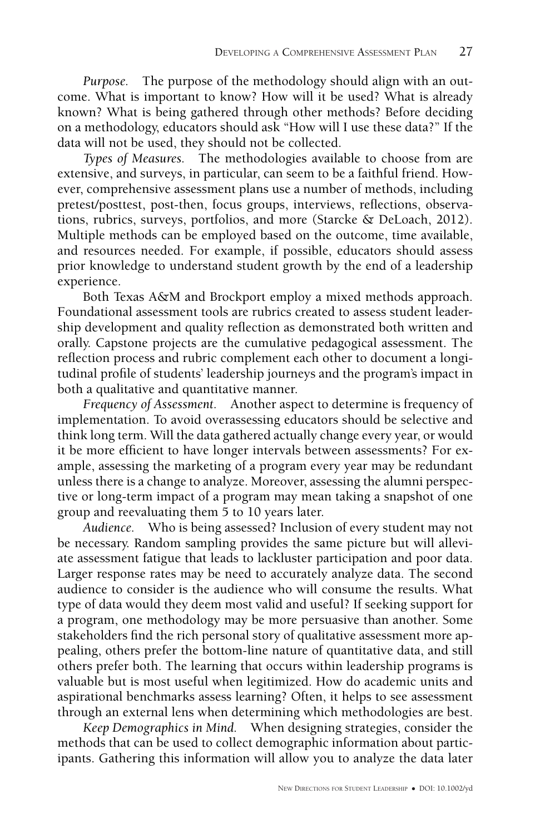*Purpose.* The purpose of the methodology should align with an outcome. What is important to know? How will it be used? What is already known? What is being gathered through other methods? Before deciding on a methodology, educators should ask "How will I use these data?" If the data will not be used, they should not be collected.

*Types of Measures.* The methodologies available to choose from are extensive, and surveys, in particular, can seem to be a faithful friend. However, comprehensive assessment plans use a number of methods, including pretest/posttest, post-then, focus groups, interviews, reflections, observations, rubrics, surveys, portfolios, and more (Starcke & DeLoach, 2012). Multiple methods can be employed based on the outcome, time available, and resources needed. For example, if possible, educators should assess prior knowledge to understand student growth by the end of a leadership experience.

Both Texas A&M and Brockport employ a mixed methods approach. Foundational assessment tools are rubrics created to assess student leadership development and quality reflection as demonstrated both written and orally. Capstone projects are the cumulative pedagogical assessment. The reflection process and rubric complement each other to document a longitudinal profile of students' leadership journeys and the program's impact in both a qualitative and quantitative manner.

*Frequency of Assessment.* Another aspect to determine is frequency of implementation. To avoid overassessing educators should be selective and think long term. Will the data gathered actually change every year, or would it be more efficient to have longer intervals between assessments? For example, assessing the marketing of a program every year may be redundant unless there is a change to analyze. Moreover, assessing the alumni perspective or long-term impact of a program may mean taking a snapshot of one group and reevaluating them 5 to 10 years later.

*Audience.* Who is being assessed? Inclusion of every student may not be necessary. Random sampling provides the same picture but will alleviate assessment fatigue that leads to lackluster participation and poor data. Larger response rates may be need to accurately analyze data. The second audience to consider is the audience who will consume the results. What type of data would they deem most valid and useful? If seeking support for a program, one methodology may be more persuasive than another. Some stakeholders find the rich personal story of qualitative assessment more appealing, others prefer the bottom-line nature of quantitative data, and still others prefer both. The learning that occurs within leadership programs is valuable but is most useful when legitimized. How do academic units and aspirational benchmarks assess learning? Often, it helps to see assessment through an external lens when determining which methodologies are best.

*Keep Demographics in Mind.* When designing strategies, consider the methods that can be used to collect demographic information about participants. Gathering this information will allow you to analyze the data later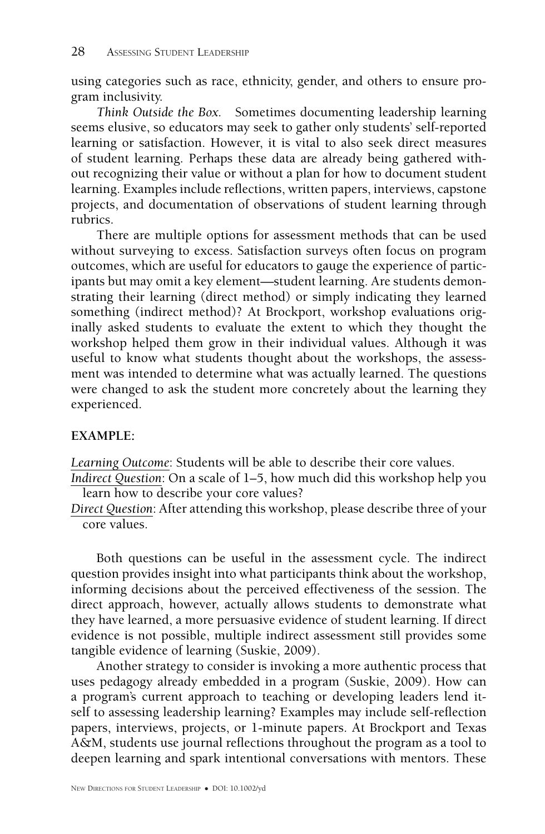using categories such as race, ethnicity, gender, and others to ensure program inclusivity.

*Think Outside the Box.* Sometimes documenting leadership learning seems elusive, so educators may seek to gather only students' self-reported learning or satisfaction. However, it is vital to also seek direct measures of student learning. Perhaps these data are already being gathered without recognizing their value or without a plan for how to document student learning. Examples include reflections, written papers, interviews, capstone projects, and documentation of observations of student learning through rubrics.

There are multiple options for assessment methods that can be used without surveying to excess. Satisfaction surveys often focus on program outcomes, which are useful for educators to gauge the experience of participants but may omit a key element—student learning. Are students demonstrating their learning (direct method) or simply indicating they learned something (indirect method)? At Brockport, workshop evaluations originally asked students to evaluate the extent to which they thought the workshop helped them grow in their individual values. Although it was useful to know what students thought about the workshops, the assessment was intended to determine what was actually learned. The questions were changed to ask the student more concretely about the learning they experienced.

#### **EXAMPLE:**.

*Learning Outcome*: Students will be able to describe their core values.

*Indirect Question*: On a scale of 1–5, how much did this workshop help you learn how to describe your core values?

*Direct Question*: After attending this workshop, please describe three of your core values.

Both questions can be useful in the assessment cycle. The indirect question provides insight into what participants think about the workshop, informing decisions about the perceived effectiveness of the session. The direct approach, however, actually allows students to demonstrate what they have learned, a more persuasive evidence of student learning. If direct evidence is not possible, multiple indirect assessment still provides some tangible evidence of learning (Suskie, 2009).

Another strategy to consider is invoking a more authentic process that uses pedagogy already embedded in a program (Suskie, 2009). How can a program's current approach to teaching or developing leaders lend itself to assessing leadership learning? Examples may include self-reflection papers, interviews, projects, or 1-minute papers. At Brockport and Texas A&M, students use journal reflections throughout the program as a tool to deepen learning and spark intentional conversations with mentors. These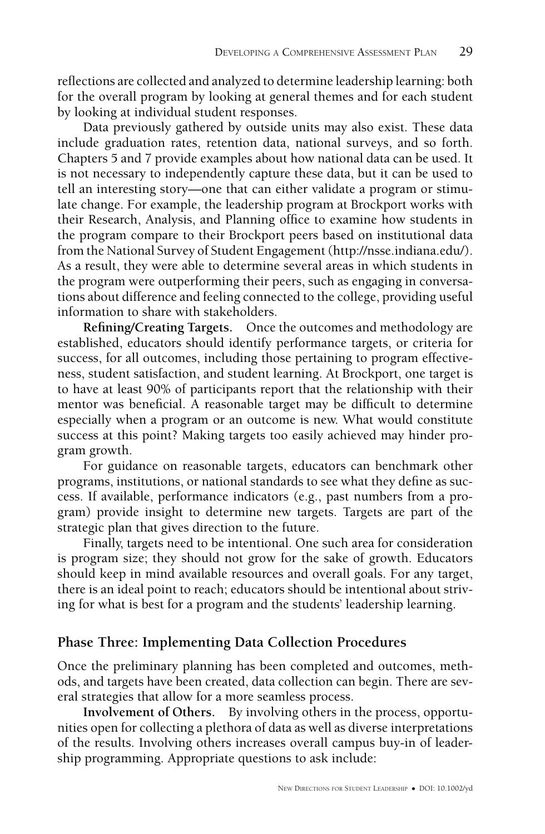reflections are collected and analyzed to determine leadership learning: both for the overall program by looking at general themes and for each student by looking at individual student responses.

Data previously gathered by outside units may also exist. These data include graduation rates, retention data, national surveys, and so forth. Chapters 5 and 7 provide examples about how national data can be used. It is not necessary to independently capture these data, but it can be used to tell an interesting story—one that can either validate a program or stimulate change. For example, the leadership program at Brockport works with their Research, Analysis, and Planning office to examine how students in the program compare to their Brockport peers based on institutional data from the National Survey of Student Engagement [\(http://nsse.indiana.edu/\)](http://nsse.indiana.edu/). As a result, they were able to determine several areas in which students in the program were outperforming their peers, such as engaging in conversations about difference and feeling connected to the college, providing useful information to share with stakeholders.

**Refining/Creating Targets.** Once the outcomes and methodology are established, educators should identify performance targets, or criteria for success, for all outcomes, including those pertaining to program effectiveness, student satisfaction, and student learning. At Brockport, one target is to have at least 90% of participants report that the relationship with their mentor was beneficial. A reasonable target may be difficult to determine especially when a program or an outcome is new. What would constitute success at this point? Making targets too easily achieved may hinder program growth.

For guidance on reasonable targets, educators can benchmark other programs, institutions, or national standards to see what they define as success. If available, performance indicators (e.g., past numbers from a program) provide insight to determine new targets. Targets are part of the strategic plan that gives direction to the future.

Finally, targets need to be intentional. One such area for consideration is program size; they should not grow for the sake of growth. Educators should keep in mind available resources and overall goals. For any target, there is an ideal point to reach; educators should be intentional about striving for what is best for a program and the students' leadership learning.

## **Phase Three: Implementing Data Collection Procedures**

Once the preliminary planning has been completed and outcomes, methods, and targets have been created, data collection can begin. There are several strategies that allow for a more seamless process.

**Involvement of Others.** By involving others in the process, opportunities open for collecting a plethora of data as well as diverse interpretations of the results. Involving others increases overall campus buy-in of leadership programming. Appropriate questions to ask include: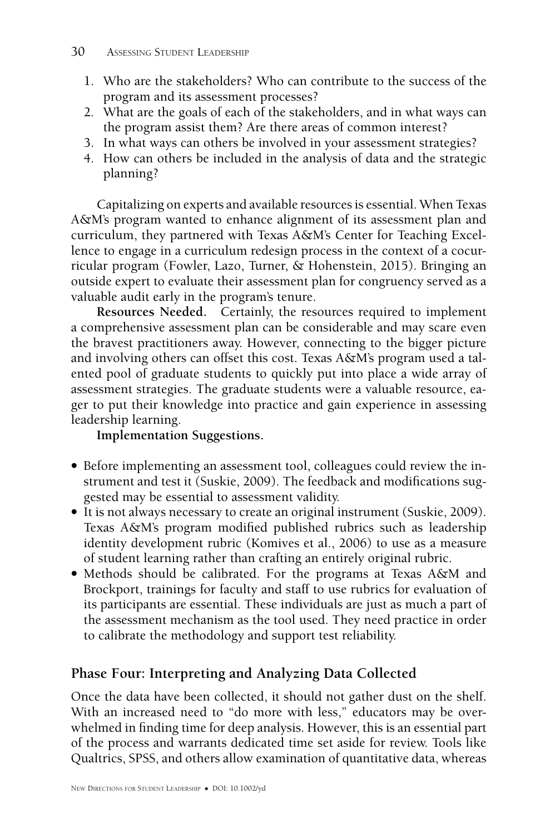- 1. Who are the stakeholders? Who can contribute to the success of the program and its assessment processes?
- 2. What are the goals of each of the stakeholders, and in what ways can the program assist them? Are there areas of common interest?
- 3. In what ways can others be involved in your assessment strategies?
- 4. How can others be included in the analysis of data and the strategic planning?

Capitalizing on experts and available resources is essential. When Texas A&M's program wanted to enhance alignment of its assessment plan and curriculum, they partnered with Texas A&M's Center for Teaching Excellence to engage in a curriculum redesign process in the context of a cocurricular program (Fowler, Lazo, Turner, & Hohenstein, 2015). Bringing an outside expert to evaluate their assessment plan for congruency served as a valuable audit early in the program's tenure.

**Resources Needed.** Certainly, the resources required to implement a comprehensive assessment plan can be considerable and may scare even the bravest practitioners away. However, connecting to the bigger picture and involving others can offset this cost. Texas A&M's program used a talented pool of graduate students to quickly put into place a wide array of assessment strategies. The graduate students were a valuable resource, eager to put their knowledge into practice and gain experience in assessing leadership learning.

**Implementation Suggestions.**

- Before implementing an assessment tool, colleagues could review the instrument and test it (Suskie, 2009). The feedback and modifications suggested may be essential to assessment validity.
- It is not always necessary to create an original instrument (Suskie, 2009). Texas A&M's program modified published rubrics such as leadership identity development rubric (Komives et al., 2006) to use as a measure of student learning rather than crafting an entirely original rubric.
- Methods should be calibrated. For the programs at Texas A&M and Brockport, trainings for faculty and staff to use rubrics for evaluation of its participants are essential. These individuals are just as much a part of the assessment mechanism as the tool used. They need practice in order to calibrate the methodology and support test reliability.

## **Phase Four: Interpreting and Analyzing Data Collected**

Once the data have been collected, it should not gather dust on the shelf. With an increased need to "do more with less," educators may be overwhelmed in finding time for deep analysis. However, this is an essential part of the process and warrants dedicated time set aside for review. Tools like Qualtrics, SPSS, and others allow examination of quantitative data, whereas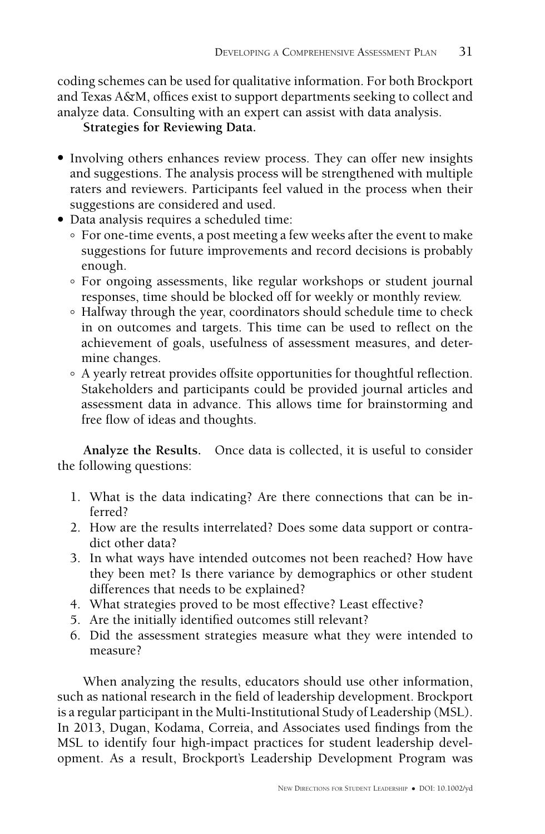coding schemes can be used for qualitative information. For both Brockport and Texas A&M, offices exist to support departments seeking to collect and analyze data. Consulting with an expert can assist with data analysis.

**Strategies for Reviewing Data.**

- Involving others enhances review process. They can offer new insights and suggestions. The analysis process will be strengthened with multiple raters and reviewers. Participants feel valued in the process when their suggestions are considered and used.
- Data analysis requires a scheduled time:
	- ° For one-time events, a post meeting a few weeks after the event to make suggestions for future improvements and record decisions is probably enough.
	- ° For ongoing assessments, like regular workshops or student journal responses, time should be blocked off for weekly or monthly review.
	- ° Halfway through the year, coordinators should schedule time to check in on outcomes and targets. This time can be used to reflect on the achievement of goals, usefulness of assessment measures, and determine changes.
	- ° A yearly retreat provides offsite opportunities for thoughtful reflection. Stakeholders and participants could be provided journal articles and assessment data in advance. This allows time for brainstorming and free flow of ideas and thoughts.

**Analyze the Results.** Once data is collected, it is useful to consider the following questions:

- 1. What is the data indicating? Are there connections that can be inferred?
- 2. How are the results interrelated? Does some data support or contradict other data?
- 3. In what ways have intended outcomes not been reached? How have they been met? Is there variance by demographics or other student differences that needs to be explained?
- 4. What strategies proved to be most effective? Least effective?
- 5. Are the initially identified outcomes still relevant?
- 6. Did the assessment strategies measure what they were intended to measure?

When analyzing the results, educators should use other information, such as national research in the field of leadership development. Brockport is a regular participant in the Multi-Institutional Study of Leadership (MSL). In 2013, Dugan, Kodama, Correia, and Associates used findings from the MSL to identify four high-impact practices for student leadership development. As a result, Brockport's Leadership Development Program was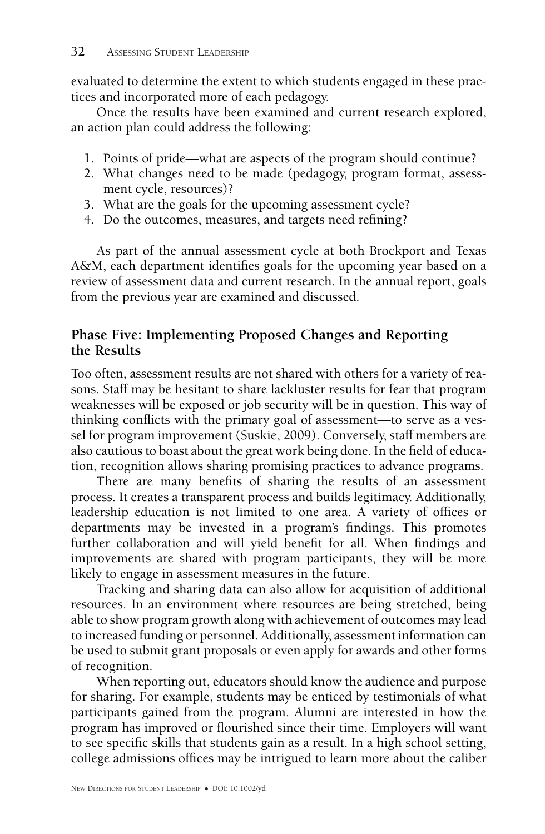evaluated to determine the extent to which students engaged in these practices and incorporated more of each pedagogy.

Once the results have been examined and current research explored, an action plan could address the following:

- 1. Points of pride—what are aspects of the program should continue?
- 2. What changes need to be made (pedagogy, program format, assessment cycle, resources)?
- 3. What are the goals for the upcoming assessment cycle?
- 4. Do the outcomes, measures, and targets need refining?

As part of the annual assessment cycle at both Brockport and Texas A&M, each department identifies goals for the upcoming year based on a review of assessment data and current research. In the annual report, goals from the previous year are examined and discussed.

## **Phase Five: Implementing Proposed Changes and Reporting the Results**

Too often, assessment results are not shared with others for a variety of reasons. Staff may be hesitant to share lackluster results for fear that program weaknesses will be exposed or job security will be in question. This way of thinking conflicts with the primary goal of assessment—to serve as a vessel for program improvement (Suskie, 2009). Conversely, staff members are also cautious to boast about the great work being done. In the field of education, recognition allows sharing promising practices to advance programs.

There are many benefits of sharing the results of an assessment process. It creates a transparent process and builds legitimacy. Additionally, leadership education is not limited to one area. A variety of offices or departments may be invested in a program's findings. This promotes further collaboration and will yield benefit for all. When findings and improvements are shared with program participants, they will be more likely to engage in assessment measures in the future.

Tracking and sharing data can also allow for acquisition of additional resources. In an environment where resources are being stretched, being able to show program growth along with achievement of outcomes may lead to increased funding or personnel. Additionally, assessment information can be used to submit grant proposals or even apply for awards and other forms of recognition.

When reporting out, educators should know the audience and purpose for sharing. For example, students may be enticed by testimonials of what participants gained from the program. Alumni are interested in how the program has improved or flourished since their time. Employers will want to see specific skills that students gain as a result. In a high school setting, college admissions offices may be intrigued to learn more about the caliber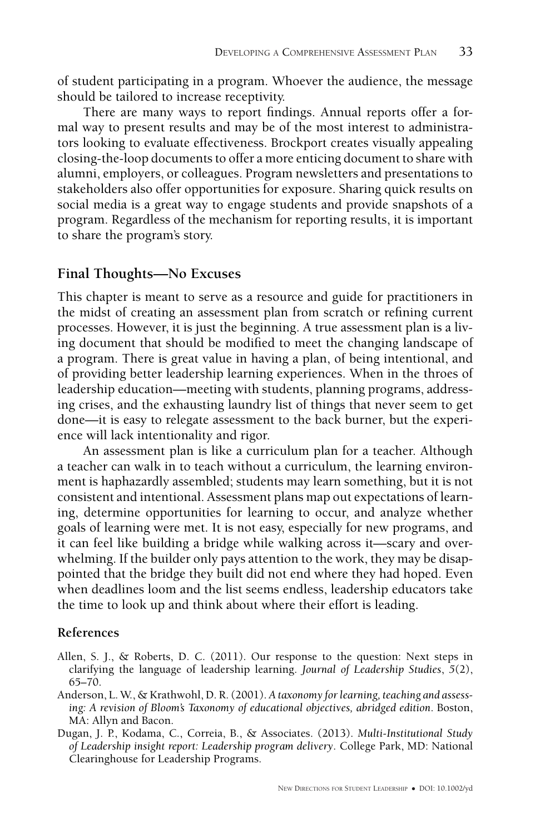of student participating in a program. Whoever the audience, the message should be tailored to increase receptivity.

There are many ways to report findings. Annual reports offer a formal way to present results and may be of the most interest to administrators looking to evaluate effectiveness. Brockport creates visually appealing closing-the-loop documents to offer a more enticing document to share with alumni, employers, or colleagues. Program newsletters and presentations to stakeholders also offer opportunities for exposure. Sharing quick results on social media is a great way to engage students and provide snapshots of a program. Regardless of the mechanism for reporting results, it is important to share the program's story.

## **Final Thoughts—No Excuses**

This chapter is meant to serve as a resource and guide for practitioners in the midst of creating an assessment plan from scratch or refining current processes. However, it is just the beginning. A true assessment plan is a living document that should be modified to meet the changing landscape of a program. There is great value in having a plan, of being intentional, and of providing better leadership learning experiences. When in the throes of leadership education—meeting with students, planning programs, addressing crises, and the exhausting laundry list of things that never seem to get done—it is easy to relegate assessment to the back burner, but the experience will lack intentionality and rigor.

An assessment plan is like a curriculum plan for a teacher. Although a teacher can walk in to teach without a curriculum, the learning environment is haphazardly assembled; students may learn something, but it is not consistent and intentional. Assessment plans map out expectations of learning, determine opportunities for learning to occur, and analyze whether goals of learning were met. It is not easy, especially for new programs, and it can feel like building a bridge while walking across it—scary and overwhelming. If the builder only pays attention to the work, they may be disappointed that the bridge they built did not end where they had hoped. Even when deadlines loom and the list seems endless, leadership educators take the time to look up and think about where their effort is leading.

### **References**

- Allen, S. J., & Roberts, D. C. (2011). Our response to the question: Next steps in clarifying the language of leadership learning. *Journal of Leadership Studies*, *5*(2), 65–70.
- Anderson, L. W., & Krathwohl, D. R. (2001). *A taxonomy for learning, teaching and assessing: A revision of Bloom's Taxonomy of educational objectives, abridged edition*. Boston, MA: Allyn and Bacon.
- Dugan, J. P., Kodama, C., Correia, B., & Associates. (2013). *Multi-Institutional Study of Leadership insight report: Leadership program delivery*. College Park, MD: National Clearinghouse for Leadership Programs.